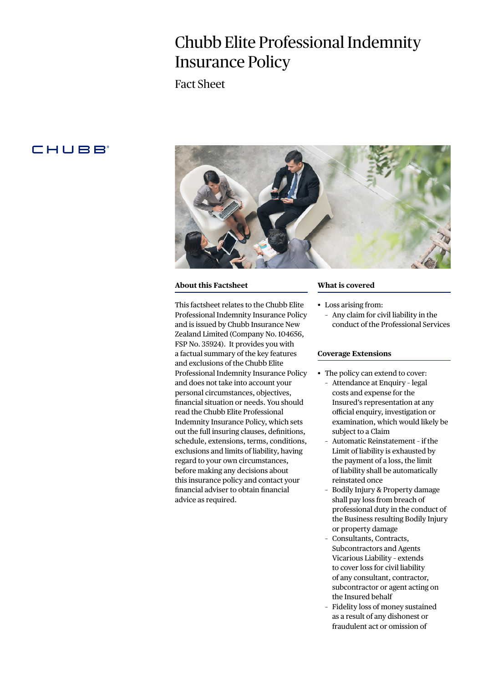# Chubb Elite Professional Indemnity Insurance Policy

Fact Sheet

# **CHUBB**



#### **About this Factsheet**

This factsheet relates to the Chubb Elite Professional Indemnity Insurance Policy and is issued by Chubb Insurance New Zealand Limited (Company No. 104656, FSP No. 35924). It provides you with a factual summary of the key features and exclusions of the Chubb Elite Professional Indemnity Insurance Policy and does not take into account your personal circumstances, objectives, financial situation or needs. You should read the Chubb Elite Professional Indemnity Insurance Policy, which sets out the full insuring clauses, definitions, schedule, extensions, terms, conditions, exclusions and limits of liability, having regard to your own circumstances, before making any decisions about this insurance policy and contact your financial adviser to obtain financial advice as required.

#### **What is covered**

- Loss arising from:
	- Any claim for civil liability in the conduct of the Professional Services

## **Coverage Extensions**

- The policy can extend to cover: – Attendance at Enquiry – legal costs and expense for the Insured's representation at any official enquiry, investigation or examination, which would likely be subject to a Claim
	- Automatic Reinstatement if the Limit of liability is exhausted by the payment of a loss, the limit of liability shall be automatically reinstated once
	- Bodily Injury & Property damage shall pay loss from breach of professional duty in the conduct of the Business resulting Bodily Injury or property damage
	- Consultants, Contracts, Subcontractors and Agents Vicarious Liability – extends to cover loss for civil liability of any consultant, contractor, subcontractor or agent acting on the Insured behalf
	- Fidelity loss of money sustained as a result of any dishonest or fraudulent act or omission of